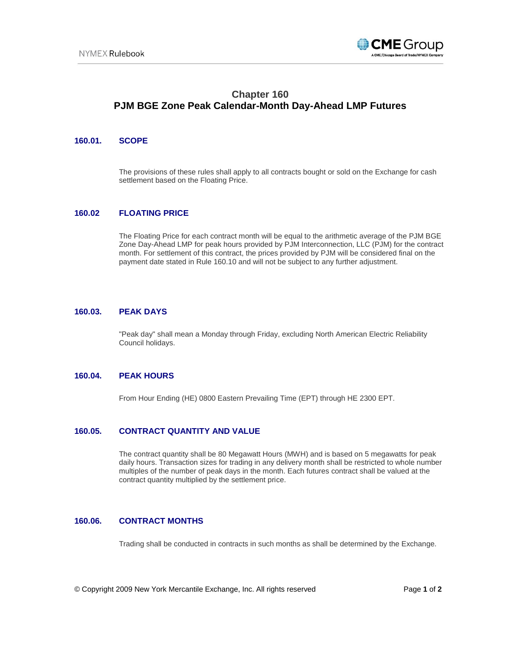

# **Chapter 160 PJM BGE Zone Peak Calendar-Month Day-Ahead LMP Futures**

## *0B***160.01. SCOPE**

The provisions of these rules shall apply to all contracts bought or sold on the Exchange for cash settlement based on the Floating Price.

## *1B***160.02 FLOATING PRICE**

The Floating Price for each contract month will be equal to the arithmetic average of the PJM BGE Zone Day-Ahead LMP for peak hours provided by PJM Interconnection, LLC (PJM) for the contract month. For settlement of this contract, the prices provided by PJM will be considered final on the payment date stated in Rule 160.10 and will not be subject to any further adjustment.

## *2B***160.03. PEAK DAYS**

"Peak day" shall mean a Monday through Friday, excluding North American Electric Reliability Council holidays.

#### *3B***160.04. PEAK HOURS**

From Hour Ending (HE) 0800 Eastern Prevailing Time (EPT) through HE 2300 EPT.

# *4B***160.05. CONTRACT QUANTITY AND VALUE**

The contract quantity shall be 80 Megawatt Hours (MWH) and is based on 5 megawatts for peak daily hours. Transaction sizes for trading in any delivery month shall be restricted to whole number multiples of the number of peak days in the month. Each futures contract shall be valued at the contract quantity multiplied by the settlement price.

#### *5B***160.06. CONTRACT MONTHS**

Trading shall be conducted in contracts in such months as shall be determined by the Exchange.

© Copyright 2009 New York Mercantile Exchange, Inc. All rights reserved Page **1** of **2**